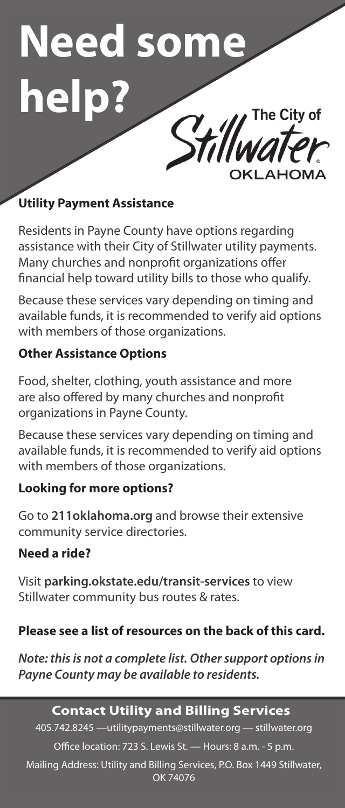# **Need some help?**

# **Utility Payment Assistance**

Residents in Payne County have options regarding assistance with their City of Stillwater utility payments. Many churches and nonprofit organizations offer financial help toward utility bills to those who qualify.

Because these services vary depending on timing and available funds, it is recommended to verify aid options with members of those organizations.

### **Other Assistance Options**

Food, shelter, clothing, youth assistance and more are also offered by many churches and nonprofit organizations in Payne County.

Because these services vary depending on timing and available funds, it is recommended to verify aid options with members of those organizations.

### **Looking for more options?**

Go to **211oklahoma.org** and browse their extensive community service directories.

### **Need a ride?**

Visit **parking.okstate.edu/transit-services** to view Stillwater community bus routes & rates.

### **Please see a list of resources on the back of this card.**

*Note: this is not a complete list. Other support options in Payne County may be available to residents.*

# **Contact Utility and Billing Services**

405.742.8245 —utilitypayments@stillwater.org — stillwater.org Office location: 723 S. Lewis St. — Hours: 8 a.m. - 5 p.m.

Mailing Address: Utility and Billing Services, P.O. Box 1449 Stillwater, OK 74076